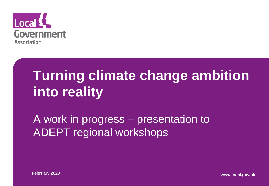

## **Turning climate change ambition into reality**

#### A work in progress – presentation to ADEPT regional workshops

**February 2020 www.local.gov.uk**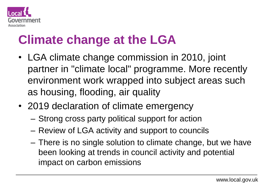

#### **Climate change at the LGA**

- LGA climate change commission in 2010, joint partner in "climate local" programme. More recently environment work wrapped into subject areas such as housing, flooding, air quality
- 2019 declaration of climate emergency
	- Strong cross party political support for action
	- Review of LGA activity and support to councils
	- There is no single solution to climate change, but we have been looking at trends in council activity and potential impact on carbon emissions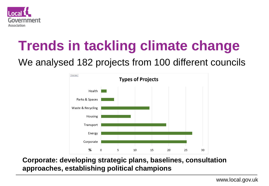

## **Trends in tackling climate change**

#### We analysed 182 projects from 100 different councils



#### **Corporate: developing strategic plans, baselines, consultation approaches, establishing political champions**

www.local.gov.uk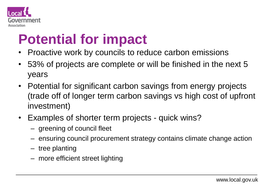

#### **Potential for impact**

- Proactive work by councils to reduce carbon emissions
- 53% of projects are complete or will be finished in the next 5 years
- Potential for significant carbon savings from energy projects (trade off of longer term carbon savings vs high cost of upfront investment)
- Examples of shorter term projects quick wins?
	- greening of council fleet
	- ensuring council procurement strategy contains climate change action
	- tree planting
	- more efficient street lighting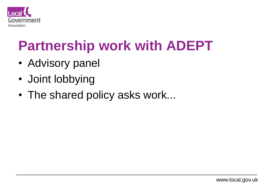

#### **Partnership work with ADEPT**

- Advisory panel
- Joint lobbying
- The shared policy asks work...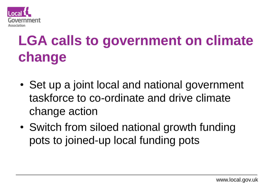

# **LGA calls to government on climate change**

- Set up a joint local and national government taskforce to co-ordinate and drive climate change action
- Switch from siloed national growth funding pots to joined-up local funding pots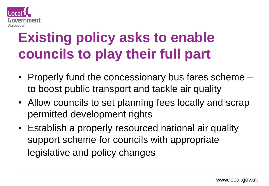

## **Existing policy asks to enable councils to play their full part**

- Properly fund the concessionary bus fares scheme to boost public transport and tackle air quality
- Allow councils to set planning fees locally and scrap permitted development rights
- Establish a properly resourced national air quality support scheme for councils with appropriate legislative and policy changes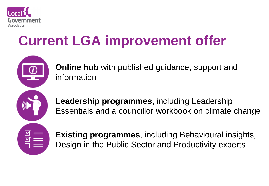

### **Current LGA improvement offer**



**Online hub** with published guidance, support and information

**Leadership programmes**, including Leadership Essentials and a councillor workbook on climate change

**Existing programmes**, including Behavioural insights, Design in the Public Sector and Productivity experts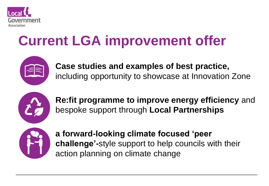

### **Current LGA improvement offer**



**Case studies and examples of best practice,**  including opportunity to showcase at Innovation Zone



**Re:fit programme to improve energy efficiency** and bespoke support through **Local Partnerships** 



**a forward-looking climate focused 'peer challenge'-**style support to help councils with their action planning on climate change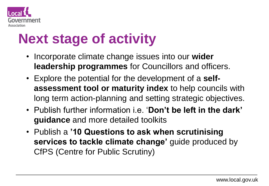

#### **Next stage of activity**

- Incorporate climate change issues into our **wider leadership programmes** for Councillors and officers.
- Explore the potential for the development of a **selfassessment tool or maturity index** to help councils with long term action-planning and setting strategic objectives.
- Publish further information i.e. '**Don't be left in the dark' guidance** and more detailed toolkits
- Publish a **'10 Questions to ask when scrutinising services to tackle climate change'** guide produced by CfPS (Centre for Public Scrutiny)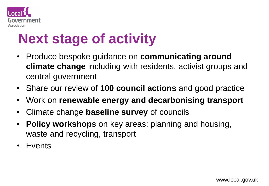

#### **Next stage of activity**

- Produce bespoke guidance on **communicating around climate change** including with residents, activist groups and central government
- Share our review of **100 council actions** and good practice
- Work on **renewable energy and decarbonising transport**
- Climate change **baseline survey** of councils
- **Policy workshops** on key areas: planning and housing, waste and recycling, transport
- Events